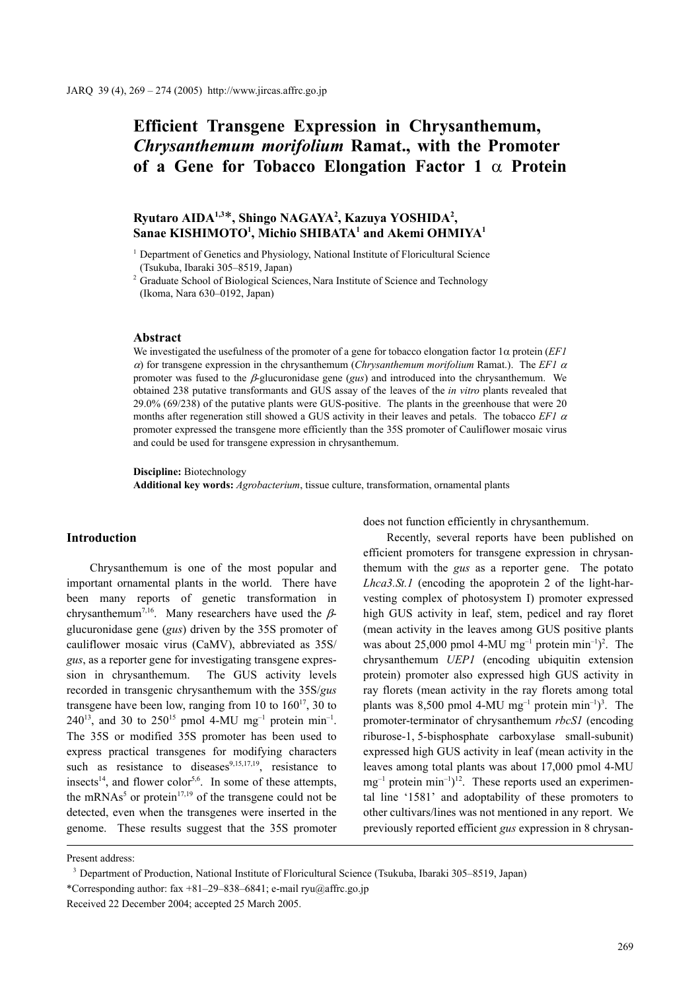# **Efficient Transgene Expression in Chrysanthemum,**  *Chrysanthemum morifolium* **Ramat., with the Promoter of a Gene for Tobacco Elongation Factor 1** α **Protein**

# **Ryutaro AIDA1,3**\***, Shingo NAGAYA2 , Kazuya YOSHIDA2 ,**   $\mathbf S$ anae KISHIMOTO<sup>1</sup>, Michio SHIBATA<sup>1</sup> and Akemi OHMIYA<sup>1</sup>

<sup>1</sup> Department of Genetics and Physiology, National Institute of Floricultural Science (Tsukuba, Ibaraki 305–8519, Japan)

<sup>2</sup> Graduate School of Biological Sciences, Nara Institute of Science and Technology (Ikoma, Nara 630–0192, Japan)

# **Abstract**

We investigated the usefulness of the promoter of a gene for tobacco elongation factor 1α protein (*EF1* <sup>α</sup>) for transgene expression in the chrysanthemum (*Chrysanthemum morifolium* Ramat.). The *EF1* <sup>α</sup> promoter was fused to the β-glucuronidase gene (*gus*) and introduced into the chrysanthemum. We obtained 238 putative transformants and GUS assay of the leaves of the *in vitro* plants revealed that 29.0% (69/238) of the putative plants were GUS-positive. The plants in the greenhouse that were 20 months after regeneration still showed a GUS activity in their leaves and petals. The tobacco *EF1* <sup>α</sup> promoter expressed the transgene more efficiently than the 35S promoter of Cauliflower mosaic virus and could be used for transgene expression in chrysanthemum.

**Discipline:** Biotechnology

**Additional key words:** *Agrobacterium*, tissue culture, transformation, ornamental plants

# **Introduction**

Chrysanthemum is one of the most popular and important ornamental plants in the world. There have been many reports of genetic transformation in chrysanthemum<sup>7,16</sup>. Many researchers have used the  $\beta$ glucuronidase gene (*gus*) driven by the 35S promoter of cauliflower mosaic virus (CaMV), abbreviated as 35S/ *gus*, as a reporter gene for investigating transgene expression in chrysanthemum. The GUS activity levels recorded in transgenic chrysanthemum with the 35S/*gus* transgene have been low, ranging from 10 to  $160^{17}$ , 30 to 240<sup>13</sup>, and 30 to 250<sup>15</sup> pmol 4-MU mg<sup>-1</sup> protein min<sup>-1</sup>. The 35S or modified 35S promoter has been used to express practical transgenes for modifying characters such as resistance to diseases $9,15,17,19$ , resistance to insects<sup>14</sup>, and flower color<sup>5,6</sup>. In some of these attempts, the mRNAs<sup>5</sup> or protein<sup>17,19</sup> of the transgene could not be detected, even when the transgenes were inserted in the genome. These results suggest that the 35S promoter does not function efficiently in chrysanthemum.

Recently, several reports have been published on efficient promoters for transgene expression in chrysanthemum with the *gus* as a reporter gene. The potato *Lhca3.St.1* (encoding the apoprotein 2 of the light-harvesting complex of photosystem I) promoter expressed high GUS activity in leaf, stem, pedicel and ray floret (mean activity in the leaves among GUS positive plants was about 25,000 pmol 4-MU mg<sup>-1</sup> protein min<sup>-1</sup>)<sup>2</sup>. The chrysanthemum *UEP1* (encoding ubiquitin extension protein) promoter also expressed high GUS activity in ray florets (mean activity in the ray florets among total plants was 8,500 pmol 4-MU mg<sup>-1</sup> protein min<sup>-1</sup>)<sup>3</sup>. The promoter-terminator of chrysanthemum *rbcS1* (encoding riburose-1, 5-bisphosphate carboxylase small-subunit) expressed high GUS activity in leaf (mean activity in the leaves among total plants was about 17,000 pmol 4-MU  $mg^{-1}$  protein min<sup>-1</sup>)<sup>12</sup>. These reports used an experimental line '1581' and adoptability of these promoters to other cultivars/lines was not mentioned in any report. We previously reported efficient *gus* expression in 8 chrysan-

Present address:

<sup>3</sup> Department of Production, National Institute of Floricultural Science (Tsukuba, Ibaraki 305–8519, Japan) \*Corresponding author:  $\frac{29-838-6841}{e}$ ; e-mail ryu@affrc.go.jp Received 22 December 2004; accepted 25 March 2005.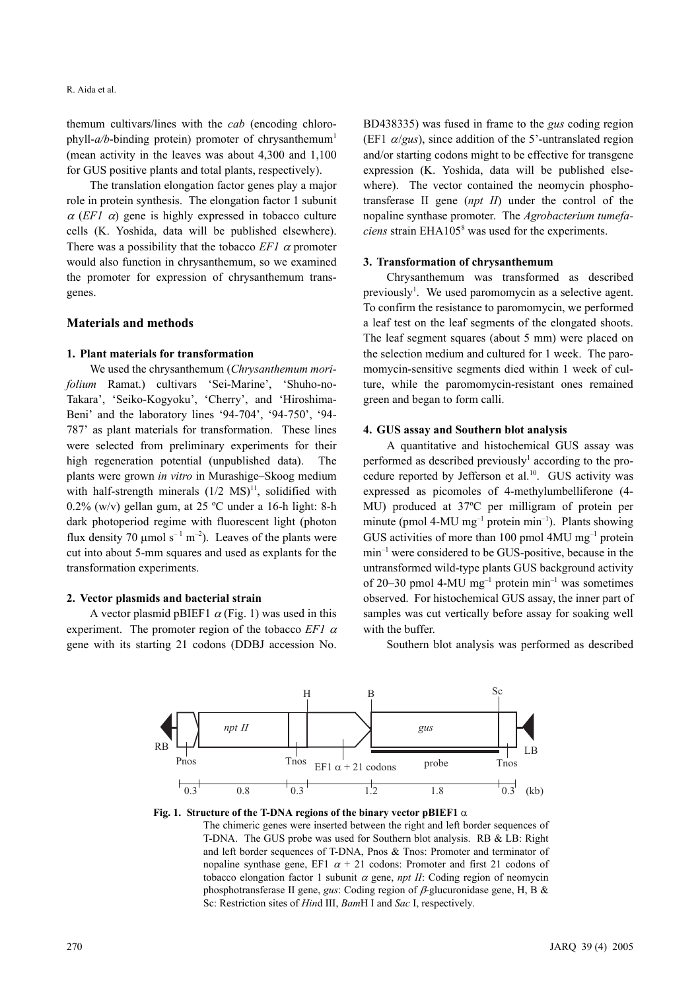themum cultivars/lines with the *cab* (encoding chlorophyll- $a/b$ -binding protein) promoter of chrysanthemum<sup>1</sup> (mean activity in the leaves was about 4,300 and 1,100 for GUS positive plants and total plants, respectively).

The translation elongation factor genes play a major role in protein synthesis. The elongation factor 1 subunit  $\alpha$  (*EF1*  $\alpha$ ) gene is highly expressed in tobacco culture cells (K. Yoshida, data will be published elsewhere). There was a possibility that the tobacco  $EFI \alpha$  promoter would also function in chrysanthemum, so we examined the promoter for expression of chrysanthemum transgenes.

## **Materials and methods**

# **1. Plant materials for transformation**

We used the chrysanthemum (*Chrysanthemum morifolium* Ramat.) cultivars 'Sei-Marine', 'Shuho-no-Takara', 'Seiko-Kogyoku', 'Cherry', and 'Hiroshima-Beni' and the laboratory lines '94-704', '94-750', '94- 787' as plant materials for transformation. These lines were selected from preliminary experiments for their high regeneration potential (unpublished data). The plants were grown *in vitro* in Murashige–Skoog medium with half-strength minerals  $(1/2 \text{ MS})^{11}$ , solidified with 0.2% (w/v) gellan gum, at 25 ºC under a 16-h light: 8-h dark photoperiod regime with fluorescent light (photon flux density 70  $\mu$ mol s<sup>-1</sup> m<sup>-2</sup>). Leaves of the plants were cut into about 5-mm squares and used as explants for the transformation experiments.

# **2. Vector plasmids and bacterial strain**

A vector plasmid pBIEF1  $\alpha$  (Fig. 1) was used in this experiment. The promoter region of the tobacco *EF1* <sup>α</sup> gene with its starting 21 codons (DDBJ accession No. BD438335) was fused in frame to the *gus* coding region (EF1  $\alpha/gus$ ), since addition of the 5'-untranslated region and/or starting codons might to be effective for transgene expression (K. Yoshida, data will be published elsewhere). The vector contained the neomycin phosphotransferase II gene (*npt II*) under the control of the nopaline synthase promoter. The *Agrobacterium tumefa*ciens strain EHA105<sup>8</sup> was used for the experiments.

### **3. Transformation of chrysanthemum**

Chrysanthemum was transformed as described previously<sup>1</sup>. We used paromomycin as a selective agent. To confirm the resistance to paromomycin, we performed a leaf test on the leaf segments of the elongated shoots. The leaf segment squares (about 5 mm) were placed on the selection medium and cultured for 1 week. The paromomycin-sensitive segments died within 1 week of culture, while the paromomycin-resistant ones remained green and began to form calli.

## **4. GUS assay and Southern blot analysis**

A quantitative and histochemical GUS assay was performed as described previously<sup>1</sup> according to the procedure reported by Jefferson et al.<sup>10</sup>. GUS activity was expressed as picomoles of 4-methylumbelliferone (4- MU) produced at 37ºC per milligram of protein per minute (pmol 4-MU mg<sup>-1</sup> protein min<sup>-1</sup>). Plants showing GUS activities of more than 100 pmol  $4MU$  mg<sup>-1</sup> protein min–1 were considered to be GUS-positive, because in the untransformed wild-type plants GUS background activity of 20–30 pmol 4-MU mg<sup>-1</sup> protein min<sup>-1</sup> was sometimes observed. For histochemical GUS assay, the inner part of samples was cut vertically before assay for soaking well with the buffer.

Southern blot analysis was performed as described





The chimeric genes were inserted between the right and left border sequences of T-DNA. The GUS probe was used for Southern blot analysis. RB & LB: Right and left border sequences of T-DNA, Pnos & Tnos: Promoter and terminator of nopaline synthase gene, EF1  $\alpha$  + 21 codons: Promoter and first 21 codons of tobacco elongation factor 1 subunit α gene, *npt II*: Coding region of neomycin phosphotransferase II gene, *gus*: Coding region of  $\beta$ -glucuronidase gene, H, B & Sc: Restriction sites of *Hin*d III, *Bam*H I and *Sac* I, respectively.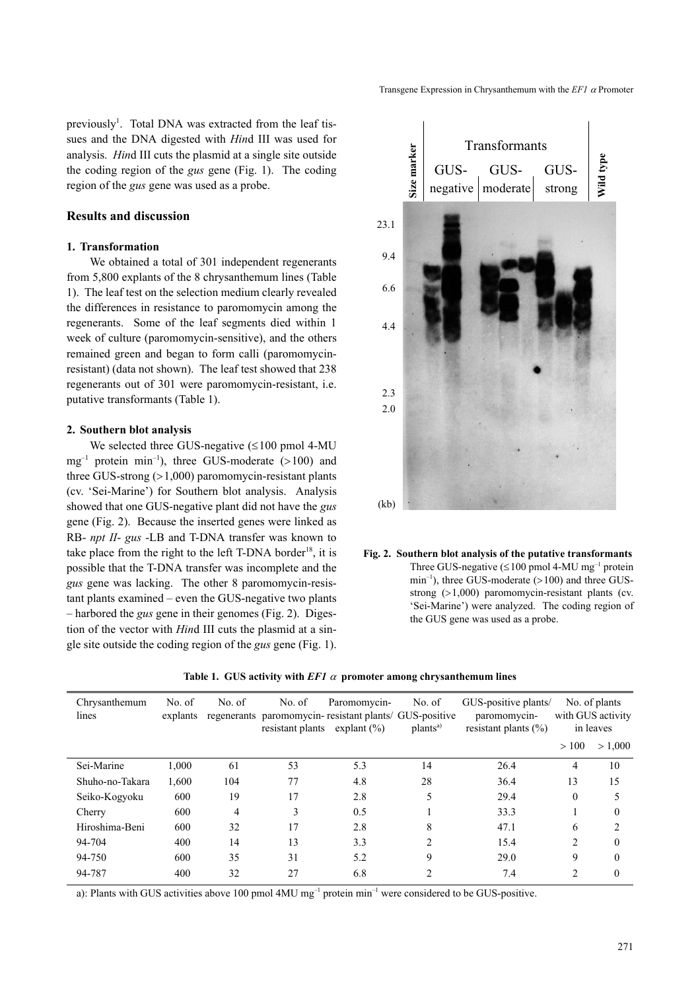Transgene Expression in Chrysanthemum with the *EF1* α Promoter

previously<sup>1</sup>. Total DNA was extracted from the leaf tissues and the DNA digested with *Hin*d III was used for analysis. *Hin*d III cuts the plasmid at a single site outside the coding region of the *gus* gene (Fig. 1). The coding region of the *gus* gene was used as a probe.

# **Results and discussion**

## **1. Transformation**

We obtained a total of 301 independent regenerants from 5,800 explants of the 8 chrysanthemum lines (Table 1). The leaf test on the selection medium clearly revealed the differences in resistance to paromomycin among the regenerants. Some of the leaf segments died within 1 week of culture (paromomycin-sensitive), and the others remained green and began to form calli (paromomycinresistant) (data not shown). The leaf test showed that 238 regenerants out of 301 were paromomycin-resistant, i.e. putative transformants (Table 1).

# **2. Southern blot analysis**

We selected three GUS-negative  $(\leq 100 \text{ pmol } 4\text{-MU})$  $mg^{-1}$  protein min<sup>-1</sup>), three GUS-moderate (>100) and three GUS-strong  $(>1,000)$  paromomycin-resistant plants (cv. 'Sei-Marine') for Southern blot analysis. Analysis showed that one GUS-negative plant did not have the *gus* gene (Fig. 2). Because the inserted genes were linked as RB- *npt II*- *gus* -LB and T-DNA transfer was known to take place from the right to the left T-DNA border<sup>18</sup>, it is possible that the T-DNA transfer was incomplete and the *gus* gene was lacking. The other 8 paromomycin-resistant plants examined – even the GUS-negative two plants – harbored the *gus* gene in their genomes (Fig. 2). Digestion of the vector with *Hin*d III cuts the plasmid at a single site outside the coding region of the *gus* gene (Fig. 1).



**Fig. 2. Southern blot analysis of the putative transformants** Three GUS-negative  $(\leq 100 \text{ pmol } 4\text{-MU mg}^{-1}$  protein  $min^{-1}$ ), three GUS-moderate (>100) and three GUSstrong (>1,000) paromomycin-resistant plants (cv. 'Sei-Marine') were analyzed. The coding region of the GUS gene was used as a probe.

| Chrysanthemum<br>lines | No. of<br>explants | No. of | No. of<br>Paromomycin-<br>regenerants paromomycin-resistant plants/ GUS-positive<br>resistant plants<br>explant $(\% )$ |     | No. of<br>plants <sup>a)</sup> | GUS-positive plants/<br>paromomycin-<br>resistant plants $(\% )$ | No. of plants<br>with GUS activity<br>in leaves |          |
|------------------------|--------------------|--------|-------------------------------------------------------------------------------------------------------------------------|-----|--------------------------------|------------------------------------------------------------------|-------------------------------------------------|----------|
|                        |                    |        |                                                                                                                         |     |                                |                                                                  | >100                                            | > 1,000  |
| Sei-Marine             | 1,000              | 61     | 53                                                                                                                      | 5.3 | 14                             | 26.4                                                             | 4                                               | 10       |
| Shuho-no-Takara        | 1,600              | 104    | 77                                                                                                                      | 4.8 | 28                             | 36.4                                                             | 13                                              | 15       |
| Seiko-Kogyoku          | 600                | 19     | 17                                                                                                                      | 2.8 | 5                              | 29.4                                                             | $\theta$                                        | 5        |
| Cherry                 | 600                | 4      | 3                                                                                                                       | 0.5 |                                | 33.3                                                             |                                                 | $\Omega$ |
| Hiroshima-Beni         | 600                | 32     | 17                                                                                                                      | 2.8 | 8                              | 47.1                                                             | 6                                               |          |
| 94-704                 | 400                | 14     | 13                                                                                                                      | 3.3 | $\mathfrak{D}$                 | 15.4                                                             | $\mathfrak{D}$                                  | $\theta$ |
| 94-750                 | 600                | 35     | 31                                                                                                                      | 5.2 | 9                              | 29.0                                                             | 9                                               | $\theta$ |
| 94-787                 | 400                | 32     | 27                                                                                                                      | 6.8 | 2                              | 7.4                                                              | $\overline{c}$                                  | $\theta$ |

**Table 1. GUS activity with** *EF1* α **promoter among chrysanthemum lines**

a): Plants with GUS activities above 100 pmol 4MU mg–1 protein min–1 were considered to be GUS-positive.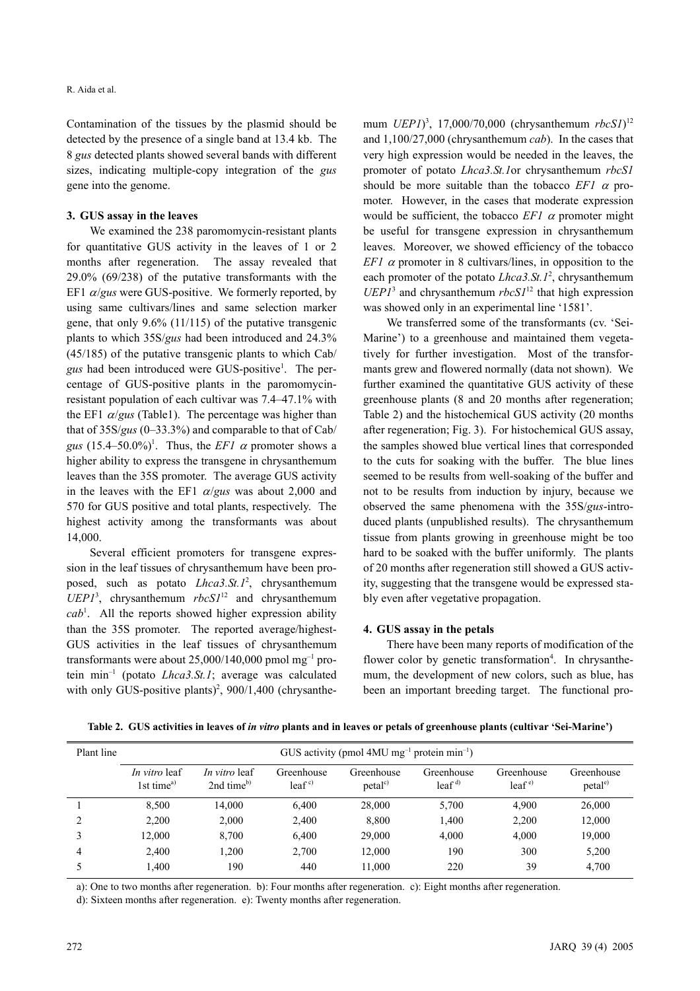Contamination of the tissues by the plasmid should be detected by the presence of a single band at 13.4 kb. The 8 *gus* detected plants showed several bands with different sizes, indicating multiple-copy integration of the *gus* gene into the genome.

## **3. GUS assay in the leaves**

We examined the 238 paromomycin-resistant plants for quantitative GUS activity in the leaves of 1 or 2 months after regeneration. The assay revealed that 29.0% (69/238) of the putative transformants with the EF1 α/*gus* were GUS-positive. We formerly reported, by using same cultivars/lines and same selection marker gene, that only 9.6% (11/115) of the putative transgenic plants to which 35S/*gus* had been introduced and 24.3% (45/185) of the putative transgenic plants to which Cab/ gus had been introduced were GUS-positive<sup>1</sup>. The percentage of GUS-positive plants in the paromomycinresistant population of each cultivar was 7.4–47.1% with the EF1  $\alpha/gus$  (Table1). The percentage was higher than that of 35S/*gus* (0–33.3%) and comparable to that of Cab/ gus  $(15.4-50.0\%)$ <sup>1</sup>. Thus, the *EF1*  $\alpha$  promoter shows a higher ability to express the transgene in chrysanthemum leaves than the 35S promoter. The average GUS activity in the leaves with the EF1 <sup>α</sup>/*gus* was about 2,000 and 570 for GUS positive and total plants, respectively. The highest activity among the transformants was about 14,000.

Several efficient promoters for transgene expression in the leaf tissues of chrysanthemum have been proposed, such as potato *Lhca3.St.1*<sup>2</sup> , chrysanthemum *UEP1*<sup>3</sup> , chrysanthemum *rbcS1*12 and chrysanthemum  $cab<sup>1</sup>$ . All the reports showed higher expression ability than the 35S promoter. The reported average/highest-GUS activities in the leaf tissues of chrysanthemum transformants were about  $25,000/140,000$  pmol mg<sup>-1</sup> protein min–1 (potato *Lhca3.St.1*; average was calculated with only GUS-positive plants)<sup>2</sup>, 900/1,400 (chrysanthe-

mum *UEP1*) 3 , 17,000/70,000 (chrysanthemum *rbcS1*) 12 and 1,100/27,000 (chrysanthemum *cab*). In the cases that very high expression would be needed in the leaves, the promoter of potato *Lhca3.St.1*or chrysanthemum *rbcS1* should be more suitable than the tobacco *EF1* α promoter. However, in the cases that moderate expression would be sufficient, the tobacco  $EFI$   $\alpha$  promoter might be useful for transgene expression in chrysanthemum leaves. Moreover, we showed efficiency of the tobacco *EF1*  $\alpha$  promoter in 8 cultivars/lines, in opposition to the each promoter of the potato *Lhca3.St.1*<sup>2</sup>, chrysanthemum  $UEPI<sup>3</sup>$  and chrysanthemum  $rbcSI<sup>12</sup>$  that high expression was showed only in an experimental line '1581'.

We transferred some of the transformants (cv. 'Sei-Marine') to a greenhouse and maintained them vegetatively for further investigation. Most of the transformants grew and flowered normally (data not shown). We further examined the quantitative GUS activity of these greenhouse plants (8 and 20 months after regeneration; Table 2) and the histochemical GUS activity (20 months after regeneration; Fig. 3). For histochemical GUS assay, the samples showed blue vertical lines that corresponded to the cuts for soaking with the buffer. The blue lines seemed to be results from well-soaking of the buffer and not to be results from induction by injury, because we observed the same phenomena with the 35S/*gus*-introduced plants (unpublished results). The chrysanthemum tissue from plants growing in greenhouse might be too hard to be soaked with the buffer uniformly. The plants of 20 months after regeneration still showed a GUS activity, suggesting that the transgene would be expressed stably even after vegetative propagation.

## **4. GUS assay in the petals**

There have been many reports of modification of the flower color by genetic transformation<sup>4</sup>. In chrysanthemum, the development of new colors, such as blue, has been an important breeding target. The functional pro-

| Plant line | GUS activity (pmol 4MU $mg^{-1}$ protein min <sup>-1</sup> ) |                                                |                        |                                  |                        |                        |                                   |  |  |  |
|------------|--------------------------------------------------------------|------------------------------------------------|------------------------|----------------------------------|------------------------|------------------------|-----------------------------------|--|--|--|
|            | In vitro leaf<br>1st time <sup>a)</sup>                      | <i>In vitro</i> leaf<br>2nd time <sup>b)</sup> | Greenhouse<br>$leaf^c$ | Greenhouse<br>petal <sup>c</sup> | Greenhouse<br>$leaf^d$ | Greenhouse<br>$leaf^e$ | Greenhouse<br>petal <sup>e)</sup> |  |  |  |
|            | 8,500                                                        | 14.000                                         | 6,400                  | 28,000                           | 5,700                  | 4,900                  | 26,000                            |  |  |  |
|            | 2,200                                                        | 2,000                                          | 2,400                  | 8,800                            | 1,400                  | 2,200                  | 12,000                            |  |  |  |
|            | 12.000                                                       | 8.700                                          | 6.400                  | 29,000                           | 4,000                  | 4,000                  | 19,000                            |  |  |  |
| 4          | 2,400                                                        | 1.200                                          | 2,700                  | 12.000                           | 190                    | 300                    | 5,200                             |  |  |  |
|            | 1.400                                                        | 190                                            | 440                    | 11,000                           | 220                    | 39                     | 4,700                             |  |  |  |

**Table 2. GUS activities in leaves of** *in vitro* **plants and in leaves or petals of greenhouse plants (cultivar 'Sei-Marine')**

a): One to two months after regeneration. b): Four months after regeneration. c): Eight months after regeneration.

d): Sixteen months after regeneration. e): Twenty months after regeneration.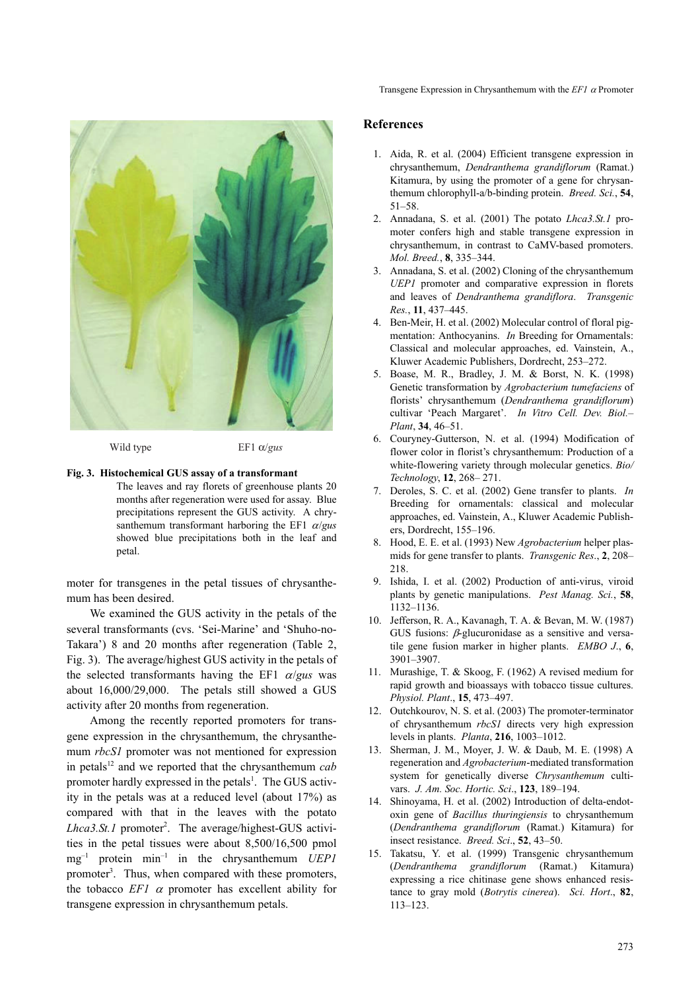

Wild type EF1 α/*gus*

#### **Fig. 3. Histochemical GUS assay of a transformant**

The leaves and ray florets of greenhouse plants 20 months after regeneration were used for assay. Blue precipitations represent the GUS activity. A chrysanthemum transformant harboring the EF1 α/*gus* showed blue precipitations both in the leaf and petal.

moter for transgenes in the petal tissues of chrysanthemum has been desired.

We examined the GUS activity in the petals of the several transformants (cvs. 'Sei-Marine' and 'Shuho-no-Takara') 8 and 20 months after regeneration (Table 2, Fig. 3). The average/highest GUS activity in the petals of the selected transformants having the EF1 α/*gus* was about 16,000/29,000. The petals still showed a GUS activity after 20 months from regeneration.

Among the recently reported promoters for transgene expression in the chrysanthemum, the chrysanthemum *rbcS1* promoter was not mentioned for expression in petals<sup>12</sup> and we reported that the chrysanthemum  $cab$ promoter hardly expressed in the petals<sup>1</sup>. The GUS activity in the petals was at a reduced level (about 17%) as compared with that in the leaves with the potato Lhca3.St.1 promoter<sup>2</sup>. The average/highest-GUS activities in the petal tissues were about 8,500/16,500 pmol  $mg^{-1}$  protein min<sup>-1</sup> in the chrysanthemum *UEP1* promoter<sup>3</sup>. Thus, when compared with these promoters, the tobacco  $EFI \alpha$  promoter has excellent ability for transgene expression in chrysanthemum petals.

# **References**

- 1. Aida, R. et al. (2004) Efficient transgene expression in chrysanthemum, *Dendranthema grandiflorum* (Ramat.) Kitamura, by using the promoter of a gene for chrysanthemum chlorophyll-a/b-binding protein. *Breed. Sci.*, **54**, 51–58.
- 2. Annadana, S. et al. (2001) The potato *Lhca3.St.1* promoter confers high and stable transgene expression in chrysanthemum, in contrast to CaMV-based promoters. *Mol. Breed.*, **8**, 335–344.
- 3. Annadana, S. et al. (2002) Cloning of the chrysanthemum *UEP1* promoter and comparative expression in florets and leaves of *Dendranthema grandiflora*. *Transgenic Res.*, **11**, 437–445.
- 4. Ben-Meir, H. et al. (2002) Molecular control of floral pigmentation: Anthocyanins. *In* Breeding for Ornamentals: Classical and molecular approaches, ed. Vainstein, A., Kluwer Academic Publishers, Dordrecht, 253–272.
- 5. Boase, M. R., Bradley, J. M. & Borst, N. K. (1998) Genetic transformation by *Agrobacterium tumefaciens* of florists' chrysanthemum (*Dendranthema grandiflorum*) cultivar 'Peach Margaret'. *In Vitro Cell. Dev. Biol.– Plant*, **34**, 46–51.
- 6. Couryney-Gutterson, N. et al. (1994) Modification of flower color in florist's chrysanthemum: Production of a white-flowering variety through molecular genetics. *Bio/ Technology*, **12**, 268– 271.
- 7. Deroles, S. C. et al. (2002) Gene transfer to plants. *In* Breeding for ornamentals: classical and molecular approaches, ed. Vainstein, A., Kluwer Academic Publishers, Dordrecht, 155–196.
- 8. Hood, E. E. et al. (1993) New *Agrobacterium* helper plasmids for gene transfer to plants. *Transgenic Res*., **2**, 208– 218.
- 9. Ishida, I. et al. (2002) Production of anti-virus, viroid plants by genetic manipulations. *Pest Manag. Sci.*, **58**, 1132–1136.
- 10. Jefferson, R. A., Kavanagh, T. A. & Bevan, M. W. (1987) GUS fusions:  $\beta$ -glucuronidase as a sensitive and versatile gene fusion marker in higher plants. *EMBO J*., **6**, 3901–3907.
- 11. Murashige, T. & Skoog, F. (1962) A revised medium for rapid growth and bioassays with tobacco tissue cultures. *Physiol. Plant*., **15**, 473–497.
- 12. Outchkourov, N. S. et al. (2003) The promoter-terminator of chrysanthemum *rbcS1* directs very high expression levels in plants. *Planta*, **216**, 1003–1012.
- 13. Sherman, J. M., Moyer, J. W. & Daub, M. E. (1998) A regeneration and *Agrobacterium*-mediated transformation system for genetically diverse *Chrysanthemum* cultivars. *J. Am. Soc. Hortic. Sci*., **123**, 189–194.
- 14. Shinoyama, H. et al. (2002) Introduction of delta-endotoxin gene of *Bacillus thuringiensis* to chrysanthemum (*Dendranthema grandiflorum* (Ramat.) Kitamura) for insect resistance. *Breed. Sci*., **52**, 43–50.
- 15. Takatsu, Y. et al. (1999) Transgenic chrysanthemum (*Dendranthema grandiflorum* (Ramat.) Kitamura) expressing a rice chitinase gene shows enhanced resistance to gray mold (*Botrytis cinerea*). *Sci. Hort*., **82**, 113–123.